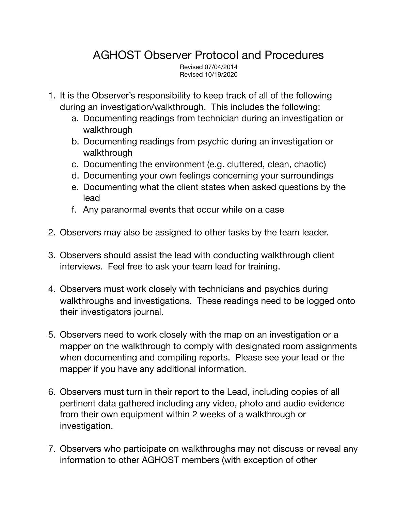## AGHOST Observer Protocol and Procedures

Revised 07/04/2014 Revised 10/19/2020

- 1. It is the Observer's responsibility to keep track of all of the following during an investigation/walkthrough. This includes the following:
	- a. Documenting readings from technician during an investigation or walkthrough
	- b. Documenting readings from psychic during an investigation or walkthrough
	- c. Documenting the environment (e.g. cluttered, clean, chaotic)
	- d. Documenting your own feelings concerning your surroundings
	- e. Documenting what the client states when asked questions by the lead
	- f. Any paranormal events that occur while on a case
- 2. Observers may also be assigned to other tasks by the team leader.
- 3. Observers should assist the lead with conducting walkthrough client interviews. Feel free to ask your team lead for training.
- 4. Observers must work closely with technicians and psychics during walkthroughs and investigations. These readings need to be logged onto their investigators journal.
- 5. Observers need to work closely with the map on an investigation or a mapper on the walkthrough to comply with designated room assignments when documenting and compiling reports. Please see your lead or the mapper if you have any additional information.
- 6. Observers must turn in their report to the Lead, including copies of all pertinent data gathered including any video, photo and audio evidence from their own equipment within 2 weeks of a walkthrough or investigation.
- 7. Observers who participate on walkthroughs may not discuss or reveal any information to other AGHOST members (with exception of other